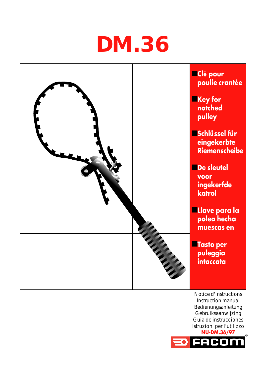## **DM.36**



Notice d'instructions Instruction manual Bedienungsanleitung Gebruiksaanwijzing Guia de instrucciones Istruzioni per l'utilizzo **NU-DM.36/97**

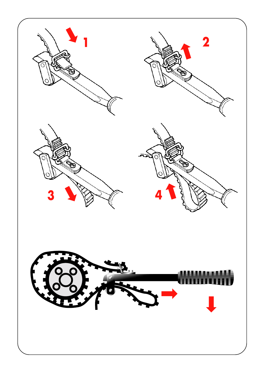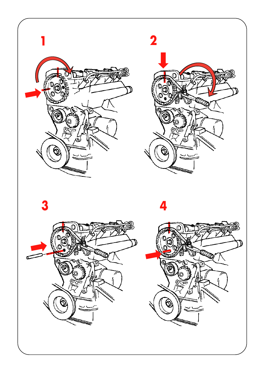